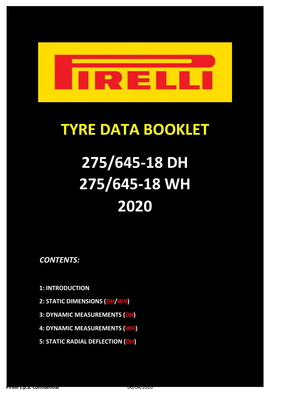

## **TYRE DATA BOOKLET**

# **2020 275/645-18 DH 275/645-18 WH**

*CONTENTS:*

**1: INTRODUCTION**

- **2: STATIC DIMENSIONS (DH/WH)**
- **3: DYNAMIC MEASUREMENTS (DH)**
- **4: DYNAMIC MEASUREMENTS (WH)**
- **5: STATIC RADIAL DEFLECTION (DH)**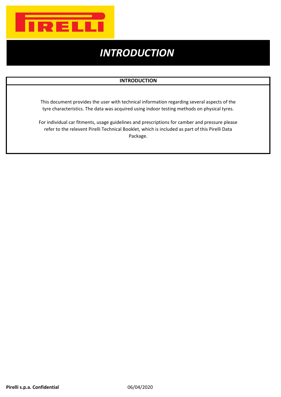

## *INTRODUCTION*

### **INTRODUCTION**

This document provides the user with technical information regarding several aspects of the tyre characteristics. The data was acquired using indoor testing methods on physical tyres.

For individual car fitments, usage guidelines and prescriptions for camber and pressure please refer to the relevent Pirelli Technical Booklet, which is included as part of this Pirelli Data Package.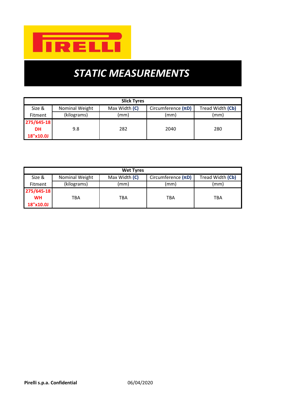

## *STATIC MEASUREMENTS*

| <b>Slick Tyres</b>       |             |               |                         |                  |  |  |  |  |  |  |
|--------------------------|-------------|---------------|-------------------------|------------------|--|--|--|--|--|--|
| Nominal Weight<br>Size & |             | Max Width (C) | Circumference $(\pi D)$ | Tread Width (Cb) |  |  |  |  |  |  |
| <b>Fitment</b>           | (kilograms) | (mm)          | (mm)                    | (mm)             |  |  |  |  |  |  |
| 275/645-18               |             |               |                         |                  |  |  |  |  |  |  |
| <b>DH</b>                | 9.8         | 282           | 2040                    | 280              |  |  |  |  |  |  |
| 18"x10.0J                |             |               |                         |                  |  |  |  |  |  |  |

| <b>Wet Tyres</b>              |                |               |                         |                  |  |  |  |  |  |  |
|-------------------------------|----------------|---------------|-------------------------|------------------|--|--|--|--|--|--|
| Size &                        | Nominal Weight | Max Width (C) | Circumference $(\pi D)$ | Tread Width (Cb) |  |  |  |  |  |  |
| (kilograms)<br><b>Fitment</b> |                | (mm)          | (mm)                    | (mm)             |  |  |  |  |  |  |
| 275/645-18                    |                |               |                         |                  |  |  |  |  |  |  |
| <b>WH</b><br>TBA              |                | TBA           | TBA                     | TBA              |  |  |  |  |  |  |
| 18"x10.0J                     |                |               |                         |                  |  |  |  |  |  |  |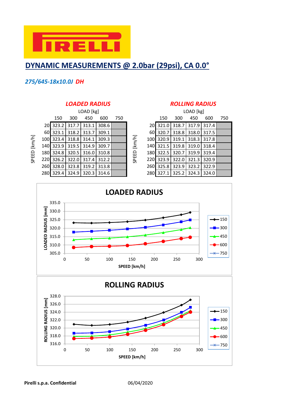

## **DYNAMIC MEASUREMENTS @ 2.0bar (29psi), CA 0.0°**

## *275/645-18x10.0J DH*

|        |              |                                                                                                                                                                                                                                                                                                                               |                |     |       |       |  | LOAD [kg] |       |             |       |
|--------|--------------|-------------------------------------------------------------------------------------------------------------------------------------------------------------------------------------------------------------------------------------------------------------------------------------------------------------------------------|----------------|-----|-------|-------|--|-----------|-------|-------------|-------|
|        |              | 150                                                                                                                                                                                                                                                                                                                           | 300            | 450 | 600   | 750   |  | 150       | 300   | 450         | 600   |
|        |              | LOAD [kg]<br>20 323.2<br>$317.7$ 313.1<br>308.6<br>60 323.1<br>318.2<br>313.7<br>309.1<br>[km/h]<br>100 323.4<br>318.8 314.1<br>309.3<br>140 323.9 319.5<br>314.9<br>309.7<br>SPEED<br>180 324.8 320.5 316.0 310.8<br>220 326.2<br>322.0<br>312.2<br>317.4<br>323.8<br>328.0<br>313.8<br>319.2<br>280 329.4 324.9 320.3 314.6 | 20 321.0 318.7 |     | 317.9 | 317.4 |  |           |       |             |       |
|        |              |                                                                                                                                                                                                                                                                                                                               |                |     |       |       |  | 60 320.7  | 318.8 | 318.0       | 317.5 |
| [km/h] |              |                                                                                                                                                                                                                                                                                                                               |                |     |       |       |  | 100 320.9 | 319.1 | 318.3 317.8 |       |
|        |              |                                                                                                                                                                                                                                                                                                                               |                |     |       |       |  | 140 321.5 | 319.8 | 319.0       | 318.4 |
| SPEED  |              |                                                                                                                                                                                                                                                                                                                               |                |     |       |       |  | 180 322.5 | 320.7 | 319.9       | 319.4 |
|        |              |                                                                                                                                                                                                                                                                                                                               |                |     |       |       |  | 220 323.9 | 322.0 | 321.3       | 320.9 |
|        | 260 <b>I</b> |                                                                                                                                                                                                                                                                                                                               |                |     |       |       |  | 260 325.8 | 323.9 | 323.2       | 322.9 |
|        |              |                                                                                                                                                                                                                                                                                                                               |                |     |       |       |  | 280 327.1 | 325.2 | 324.3 324.0 |       |

### *LOADED RADIUS ROLLING RADIUS*

|     |                      | LOAD [kg]                    |       |     |        | LOAD [kg] |                             |     |             |     |  |
|-----|----------------------|------------------------------|-------|-----|--------|-----------|-----------------------------|-----|-------------|-----|--|
| 150 | 300                  | 450                          | 600   | 750 |        | 150       | 300                         | 450 | 600         | 750 |  |
|     |                      | 23.2 317.7 313.1             | 308.6 |     |        |           | 20 321.0 318.7 317.9 317.4  |     |             |     |  |
|     |                      | 23.1   318.2   313.7   309.1 |       |     |        |           | 60 320.7 318.8 318.0 317.5  |     |             |     |  |
|     | 23.4   318.8   314.1 |                              | 309.3 |     | [km/h] |           | 100 320.9 319.1             |     | 318.3 317.8 |     |  |
|     |                      | 23.9   319.5   314.9   309.7 |       |     |        |           | 140 321.5 319.8 319.0 318.4 |     |             |     |  |
|     |                      | 24.8 320.5 316.0             | 310.8 |     |        |           | 180 322.5 320.7 319.9 319.4 |     |             |     |  |
|     |                      | 26.2 322.0 317.4 312.2       |       |     | SPEED  |           | 220 323.9 322.0 321.3 320.9 |     |             |     |  |
|     |                      | 28.0 323.8 319.2             | 313.8 |     |        |           | 260 325.8 323.9 323.2 322.9 |     |             |     |  |
|     |                      | 29.4 324.9 320.3 314.6       |       |     |        |           | 280 327.1 325.2 324.3 324.0 |     |             |     |  |

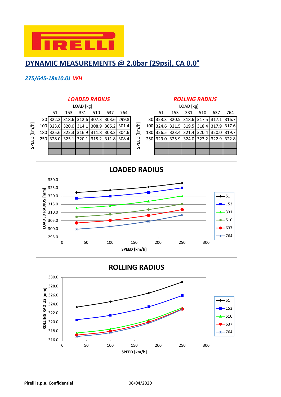

## **DYNAMIC MEASUREMENTS @ 2.0bar (29psi), CA 0.0°**

### *275/645-18x10.0J WH*



| LOAD [kg] |     |     |     |     |                                    |                                                                                                                                                                                                                                                                                                                                                                                                                                                                                                                                                          | LOAD [kg] |    |                                         |     |     |     |     |
|-----------|-----|-----|-----|-----|------------------------------------|----------------------------------------------------------------------------------------------------------------------------------------------------------------------------------------------------------------------------------------------------------------------------------------------------------------------------------------------------------------------------------------------------------------------------------------------------------------------------------------------------------------------------------------------------------|-----------|----|-----------------------------------------|-----|-----|-----|-----|
| 51        | 153 | 331 | 510 | 637 | 764                                |                                                                                                                                                                                                                                                                                                                                                                                                                                                                                                                                                          |           | 51 | 153                                     | 331 | 510 | 637 | 764 |
|           |     |     |     |     | 22.2 318.6 312.6 307.3 303.6 299.8 |                                                                                                                                                                                                                                                                                                                                                                                                                                                                                                                                                          |           |    | 30 323.3 320.5 318.6 317.5 317.1 316.7  |     |     |     |     |
|           |     |     |     |     | 23.6 320.0 314.1 308.9 305.2 301.4 | $[km/h] % \begin{minipage}[b]{0.5\linewidth} \centering \centerline{\includegraphics[width=0.5\linewidth]{pss-11000N100.pdf}} \centerline{\includegraphics[width=0.5\linewidth]{pss-11000N100.pdf}} \centerline{\includegraphics[width=0.5\linewidth]{pss-11000N100.pdf}} \centerline{\includegraphics[width=0.5\linewidth]{pss-11000N100.pdf}} \centerline{\includegraphics[width=0.5\linewidth]{pss-11000N100.pdf}} \centerline{\includegraphics[width=0.5\linewidth]{pss-11000N100.pdf}} \centerline{\includegraphics[width=0.5\linewidth]{pss-11000$ |           |    | 100 324.6 321.5 319.5 318.4 317.9 317.6 |     |     |     |     |
|           |     |     |     |     | 25.6 322.3 316.9 311.8 308.2 304.6 |                                                                                                                                                                                                                                                                                                                                                                                                                                                                                                                                                          |           |    | 180 326.5 323.4 321.4 320.4 320.0 319.7 |     |     |     |     |
|           |     |     |     |     | 28.0 325.1 320.1 315.2 311.8 308.4 |                                                                                                                                                                                                                                                                                                                                                                                                                                                                                                                                                          |           |    | 250 329.0 325.9 324.0 323.2 322.9 322.8 |     |     |     |     |
|           |     |     |     |     |                                    | SPEED                                                                                                                                                                                                                                                                                                                                                                                                                                                                                                                                                    |           |    |                                         |     |     |     |     |
|           |     |     |     |     |                                    |                                                                                                                                                                                                                                                                                                                                                                                                                                                                                                                                                          |           |    |                                         |     |     |     |     |

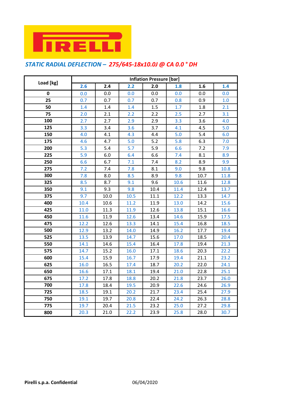

## *STATIC RADIAL DEFLECTION – 275/645-18x10.0J @ CA 0.0 ° DH*

|           | <b>Inflation Pressure [bar]</b> |                  |      |      |      |      |      |  |  |  |
|-----------|---------------------------------|------------------|------|------|------|------|------|--|--|--|
| Load [kg] | 2.6                             | $\overline{2.4}$ | 2.2  | 2.0  | 1.8  | 1.6  | 1.4  |  |  |  |
| 0         | 0.0                             | 0.0              | 0.0  | 0.0  | 0.0  | 0.0  | 0.0  |  |  |  |
| 25        | 0.7                             | 0.7              | 0.7  | 0.7  | 0.8  | 0.9  | 1.0  |  |  |  |
| 50        | 1.4                             | 1.4              | 1.4  | 1.5  | 1.7  | 1.8  | 2.1  |  |  |  |
| 75        | 2.0                             | 2.1              | 2.2  | 2.2  | 2.5  | 2.7  | 3.1  |  |  |  |
| 100       | 2.7                             | 2.7              | 2.9  | 2.9  | 3.3  | 3.6  | 4.0  |  |  |  |
| 125       | 3.3                             | 3.4              | 3.6  | 3.7  | 4.1  | 4.5  | 5.0  |  |  |  |
| 150       | 4.0                             | 4.1              | 4.3  | 4.4  | 5.0  | 5.4  | 6.0  |  |  |  |
| 175       | 4.6                             | 4.7              | 5.0  | 5.2  | 5.8  | 6.3  | 7.0  |  |  |  |
| 200       | 5.3                             | 5.4              | 5.7  | 5.9  | 6.6  | 7.2  | 7.9  |  |  |  |
| 225       | 5.9                             | 6.0              | 6.4  | 6.6  | 7.4  | 8.1  | 8.9  |  |  |  |
| 250       | 6.6                             | 6.7              | 7.1  | 7.4  | 8.2  | 8.9  | 9.9  |  |  |  |
| 275       | 7.2                             | 7.4              | 7.8  | 8.1  | 9.0  | 9.8  | 10.8 |  |  |  |
| 300       | 7.8                             | 8.0              | 8.5  | 8.9  | 9.8  | 10.7 | 11.8 |  |  |  |
| 325       | 8.5                             | 8.7              | 9.1  | 9.6  | 10.6 | 11.6 | 12.8 |  |  |  |
| 350       | 9.1                             | 9.3              | 9.8  | 10.4 | 11.4 | 12.4 | 13.7 |  |  |  |
| 375       | 9.7                             | 10.0             | 10.5 | 11.1 | 12.2 | 13.3 | 14.7 |  |  |  |
| 400       | 10.4                            | 10.6             | 11.2 | 11.9 | 13.0 | 14.2 | 15.6 |  |  |  |
| 425       | 11.0                            | 11.3             | 11.9 | 12.6 | 13.8 | 15.1 | 16.6 |  |  |  |
| 450       | 11.6                            | 11.9             | 12.6 | 13.4 | 14.6 | 15.9 | 17.5 |  |  |  |
| 475       | 12.2                            | 12.6             | 13.3 | 14.1 | 15.4 | 16.8 | 18.5 |  |  |  |
| 500       | 12.9                            | 13.2             | 14.0 | 14.9 | 16.2 | 17.7 | 19.4 |  |  |  |
| 525       | 13.5                            | 13.9             | 14.7 | 15.6 | 17.0 | 18.5 | 20.4 |  |  |  |
| 550       | 14.1                            | 14.6             | 15.4 | 16.4 | 17.8 | 19.4 | 21.3 |  |  |  |
| 575       | 14.7                            | 15.2             | 16.0 | 17.1 | 18.6 | 20.3 | 22.2 |  |  |  |
| 600       | 15.4                            | 15.9             | 16.7 | 17.9 | 19.4 | 21.1 | 23.2 |  |  |  |
| 625       | 16.0                            | 16.5             | 17.4 | 18.7 | 20.2 | 22.0 | 24.1 |  |  |  |
| 650       | 16.6                            | 17.1             | 18.1 | 19.4 | 21.0 | 22.8 | 25.1 |  |  |  |
| 675       | 17.2                            | 17.8             | 18.8 | 20.2 | 21.8 | 23.7 | 26.0 |  |  |  |
| 700       | 17.8                            | 18.4             | 19.5 | 20.9 | 22.6 | 24.6 | 26.9 |  |  |  |
| 725       | 18.5                            | 19.1             | 20.2 | 21.7 | 23.4 | 25.4 | 27.9 |  |  |  |
| 750       | 19.1                            | 19.7             | 20.8 | 22.4 | 24.2 | 26.3 | 28.8 |  |  |  |
| 775       | 19.7                            | 20.4             | 21.5 | 23.2 | 25.0 | 27.2 | 29.8 |  |  |  |
| 800       | 20.3                            | 21.0             | 22.2 | 23.9 | 25.8 | 28.0 | 30.7 |  |  |  |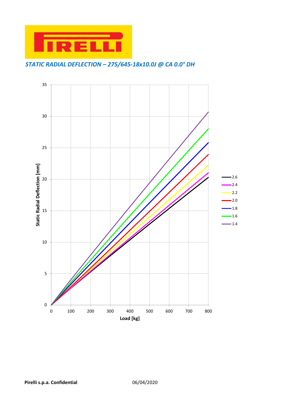

*STATIC RADIAL DEFLECTION – 275/645-18x10.0J @ CA 0.0° DH*

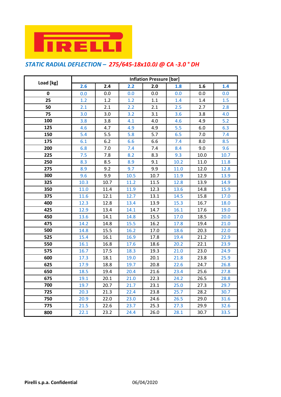

## *STATIC RADIAL DEFLECTION – 275/645-18x10.0J @ CA -3.0 ° DH*

|           | Inflation Pressure [bar] |      |      |      |      |      |      |  |  |  |
|-----------|--------------------------|------|------|------|------|------|------|--|--|--|
| Load [kg] | 2.6                      | 2.4  | 2.2  | 2.0  | 1.8  | 1.6  | 1.4  |  |  |  |
| 0         | 0.0                      | 0.0  | 0.0  | 0.0  | 0.0  | 0.0  | 0.0  |  |  |  |
| 25        | 1.2                      | 1.2  | 1.2  | 1.1  | 1.4  | 1.4  | 1.5  |  |  |  |
| 50        | 2.1                      | 2.1  | 2.2  | 2.1  | 2.5  | 2.7  | 2.8  |  |  |  |
| 75        | 3.0                      | 3.0  | 3.2  | 3.1  | 3.6  | 3.8  | 4.0  |  |  |  |
| 100       | $3.8\,$                  | 3.8  | 4.1  | 4.0  | 4.6  | 4.9  | 5.2  |  |  |  |
| 125       | 4.6                      | 4.7  | 4.9  | 4.9  | 5.5  | 6.0  | 6.3  |  |  |  |
| 150       | 5.4                      | 5.5  | 5.8  | 5.7  | 6.5  | 7.0  | 7.4  |  |  |  |
| 175       | 6.1                      | 6.2  | 6.6  | 6.6  | 7.4  | 8.0  | 8.5  |  |  |  |
| 200       | 6.8                      | 7.0  | 7.4  | 7.4  | 8.4  | 9.0  | 9.6  |  |  |  |
| 225       | 7.5                      | 7.8  | 8.2  | 8.3  | 9.3  | 10.0 | 10.7 |  |  |  |
| 250       | 8.3                      | 8.5  | 8.9  | 9.1  | 10.2 | 11.0 | 11.8 |  |  |  |
| 275       | 8.9                      | 9.2  | 9.7  | 9.9  | 11.0 | 12.0 | 12.8 |  |  |  |
| 300       | 9.6                      | 9.9  | 10.5 | 10.7 | 11.9 | 12.9 | 13.9 |  |  |  |
| 325       | 10.3                     | 10.7 | 11.2 | 11.5 | 12.8 | 13.9 | 14.9 |  |  |  |
| 350       | 11.0                     | 11.4 | 11.9 | 12.3 | 13.6 | 14.8 | 15.9 |  |  |  |
| 375       | 11.6                     | 12.1 | 12.7 | 13.1 | 14.5 | 15.8 | 17.0 |  |  |  |
| 400       | 12.3                     | 12.8 | 13.4 | 13.9 | 15.3 | 16.7 | 18.0 |  |  |  |
| 425       | 12.9                     | 13.4 | 14.1 | 14.7 | 16.1 | 17.6 | 19.0 |  |  |  |
| 450       | 13.6                     | 14.1 | 14.8 | 15.5 | 17.0 | 18.5 | 20.0 |  |  |  |
| 475       | 14.2                     | 14.8 | 15.5 | 16.2 | 17.8 | 19.4 | 21.0 |  |  |  |
| 500       | 14.8                     | 15.5 | 16.2 | 17.0 | 18.6 | 20.3 | 22.0 |  |  |  |
| 525       | 15.4                     | 16.1 | 16.9 | 17.8 | 19.4 | 21.2 | 22.9 |  |  |  |
| 550       | 16.1                     | 16.8 | 17.6 | 18.6 | 20.2 | 22.1 | 23.9 |  |  |  |
| 575       | 16.7                     | 17.5 | 18.3 | 19.3 | 21.0 | 23.0 | 24.9 |  |  |  |
| 600       | 17.3                     | 18.1 | 19.0 | 20.1 | 21.8 | 23.8 | 25.9 |  |  |  |
| 625       | 17.9                     | 18.8 | 19.7 | 20.8 | 22.6 | 24.7 | 26.8 |  |  |  |
| 650       | 18.5                     | 19.4 | 20.4 | 21.6 | 23.4 | 25.6 | 27.8 |  |  |  |
| 675       | 19.1                     | 20.1 | 21.0 | 22.3 | 24.2 | 26.5 | 28.8 |  |  |  |
| 700       | 19.7                     | 20.7 | 21.7 | 23.1 | 25.0 | 27.3 | 29.7 |  |  |  |
| 725       | 20.3                     | 21.3 | 22.4 | 23.8 | 25.7 | 28.2 | 30.7 |  |  |  |
| 750       | 20.9                     | 22.0 | 23.0 | 24.6 | 26.5 | 29.0 | 31.6 |  |  |  |
| 775       | 21.5                     | 22.6 | 23.7 | 25.3 | 27.3 | 29.9 | 32.6 |  |  |  |
| 800       | 22.1                     | 23.2 | 24.4 | 26.0 | 28.1 | 30.7 | 33.5 |  |  |  |